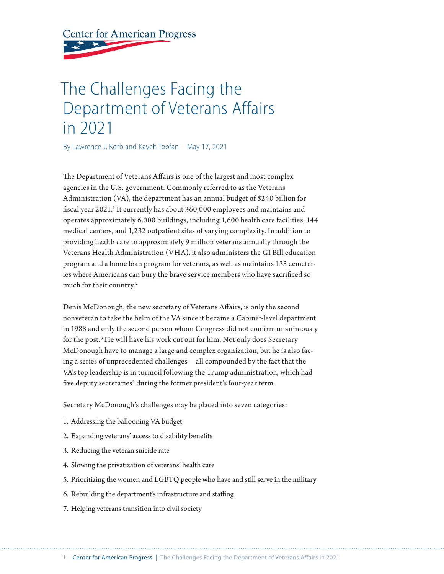**Center for American Progress** 

# The Challenges Facing the Department of Veterans Affairs in 2021

By Lawrence J. Korb and Kaveh Toofan May 17, 2021

The Department of Veterans Affairs is one of the largest and most complex agencies in the U.S. government. Commonly referred to as the Veterans Administration (VA), the department has an annual budget of \$240 billion for fiscal year 2021.<sup>1</sup> It currently has about 360,000 employees and maintains and operates approximately 6,000 buildings, including 1,600 health care facilities, 144 medical centers, and 1,232 outpatient sites of varying complexity. In addition to providing health care to approximately 9 million veterans annually through the Veterans Health Administration (VHA), it also administers the GI Bill education program and a home loan program for veterans, as well as maintains 135 cemeteries where Americans can bury the brave service members who have sacrificed so much for their country.<sup>2</sup>

Denis McDonough, the new secretary of Veterans Affairs, is only the second nonveteran to take the helm of the VA since it became a Cabinet-level department in 1988 and only the second person whom Congress did not confirm unanimously for the post.<sup>3</sup> He will have his work cut out for him. Not only does Secretary McDonough have to manage a large and complex organization, but he is also facing a series of unprecedented challenges—all compounded by the fact that the VA's top leadership is in turmoil following the Trump administration, which had five deputy secretaries<sup>4</sup> during the former president's four-year term.

Secretary McDonough's challenges may be placed into seven categories:

- 1. Addressing the ballooning VA budget
- 2. Expanding veterans' access to disability benefits
- 3. Reducing the veteran suicide rate
- 4. Slowing the privatization of veterans' health care
- 5. Prioritizing the women and LGBTQ people who have and still serve in the military
- 6. Rebuilding the department's infrastructure and staffing
- 7. Helping veterans transition into civil society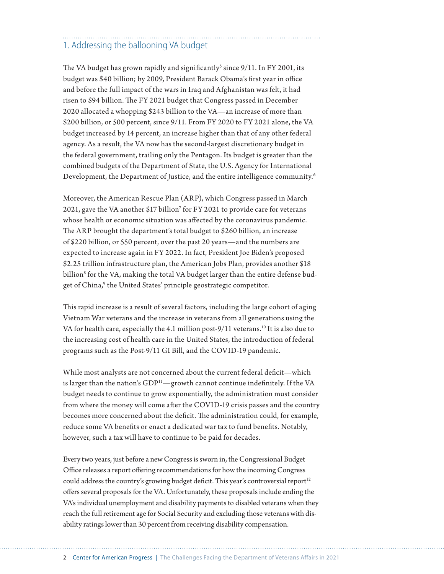## 1. Addressing the ballooning VA budget

The VA budget has grown rapidly and significantly<sup>5</sup> since  $9/11$ . In FY 2001, its budget was \$40 billion; by 2009, President Barack Obama's first year in office and before the full impact of the wars in Iraq and Afghanistan was felt, it had risen to \$94 billion. The FY 2021 budget that Congress passed in December 2020 allocated a whopping \$243 billion to the VA—an increase of more than \$200 billion, or 500 percent, since 9/11. From FY 2020 to FY 2021 alone, the VA budget increased by 14 percent, an increase higher than that of any other federal agency. As a result, the VA now has the second-largest discretionary budget in the federal government, trailing only the Pentagon. Its budget is greater than the combined budgets of the Department of State, the U.S. Agency for International Development, the Department of Justice, and the entire intelligence community.6

Moreover, the American Rescue Plan (ARP), which Congress passed in March 2021, gave the VA another \$17 billion<sup>7</sup> for FY 2021 to provide care for veterans whose health or economic situation was affected by the coronavirus pandemic. The ARP brought the department's total budget to \$260 billion, an increase of \$220 billion, or 550 percent, over the past 20 years—and the numbers are expected to increase again in FY 2022. In fact, President Joe Biden's proposed \$2.25 trillion infrastructure plan, the American Jobs Plan, provides another \$18 billion<sup>8</sup> for the VA, making the total VA budget larger than the entire defense budget of China,<sup>9</sup> the United States' principle geostrategic competitor.

This rapid increase is a result of several factors, including the large cohort of aging Vietnam War veterans and the increase in veterans from all generations using the VA for health care, especially the 4.1 million post-9/11 veterans.<sup>10</sup> It is also due to the increasing cost of health care in the United States, the introduction of federal programs such as the Post-9/11 GI Bill, and the COVID-19 pandemic.

While most analysts are not concerned about the current federal deficit—which is larger than the nation's GDP<sup>11</sup>—growth cannot continue indefinitely. If the VA budget needs to continue to grow exponentially, the administration must consider from where the money will come after the COVID-19 crisis passes and the country becomes more concerned about the deficit. The administration could, for example, reduce some VA benefits or enact a dedicated war tax to fund benefits. Notably, however, such a tax will have to continue to be paid for decades.

Every two years, just before a new Congress is sworn in, the Congressional Budget Office releases a report offering recommendations for how the incoming Congress could address the country's growing budget deficit. This year's controversial report $12$ offers several proposals for the VA. Unfortunately, these proposals include ending the VA's individual unemployment and disability payments to disabled veterans when they reach the full retirement age for Social Security and excluding those veterans with disability ratings lower than 30 percent from receiving disability compensation.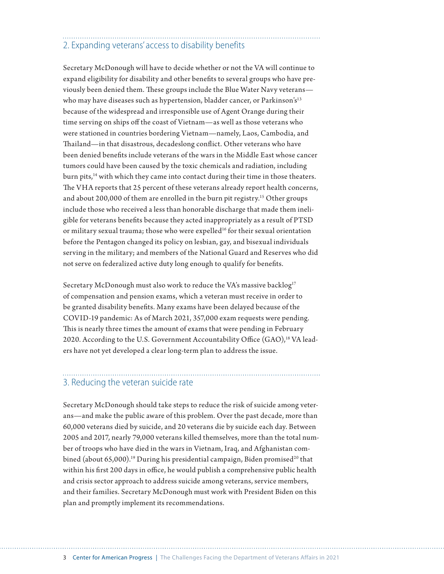### 2. Expanding veterans' access to disability benefits

Secretary McDonough will have to decide whether or not the VA will continue to expand eligibility for disability and other benefits to several groups who have previously been denied them. These groups include the Blue Water Navy veterans who may have diseases such as hypertension, bladder cancer, or Parkinson's<sup>13</sup> because of the widespread and irresponsible use of Agent Orange during their time serving on ships off the coast of Vietnam—as well as those veterans who were stationed in countries bordering Vietnam—namely, Laos, Cambodia, and Thailand—in that disastrous, decadeslong conflict. Other veterans who have been denied benefits include veterans of the wars in the Middle East whose cancer tumors could have been caused by the toxic chemicals and radiation, including burn pits,<sup>14</sup> with which they came into contact during their time in those theaters. The VHA reports that 25 percent of these veterans already report health concerns, and about 200,000 of them are enrolled in the burn pit registry.<sup>15</sup> Other groups include those who received a less than honorable discharge that made them ineligible for veterans benefits because they acted inappropriately as a result of PTSD or military sexual trauma; those who were expelled<sup>16</sup> for their sexual orientation before the Pentagon changed its policy on lesbian, gay, and bisexual individuals serving in the military; and members of the National Guard and Reserves who did not serve on federalized active duty long enough to qualify for benefits.

Secretary McDonough must also work to reduce the VA's massive backlog<sup>17</sup> of compensation and pension exams, which a veteran must receive in order to be granted disability benefits. Many exams have been delayed because of the COVID-19 pandemic: As of March 2021, 357,000 exam requests were pending. This is nearly three times the amount of exams that were pending in February 2020. According to the U.S. Government Accountability Office (GAO),<sup>18</sup> VA leaders have not yet developed a clear long-term plan to address the issue.

#### 3. Reducing the veteran suicide rate

Secretary McDonough should take steps to reduce the risk of suicide among veterans—and make the public aware of this problem. Over the past decade, more than 60,000 veterans died by suicide, and 20 veterans die by suicide each day. Between 2005 and 2017, nearly 79,000 veterans killed themselves, more than the total number of troops who have died in the wars in Vietnam, Iraq, and Afghanistan combined (about  $65,000$ ).<sup>19</sup> During his presidential campaign, Biden promised<sup>20</sup> that within his first 200 days in office, he would publish a comprehensive public health and crisis sector approach to address suicide among veterans, service members, and their families. Secretary McDonough must work with President Biden on this plan and promptly implement its recommendations.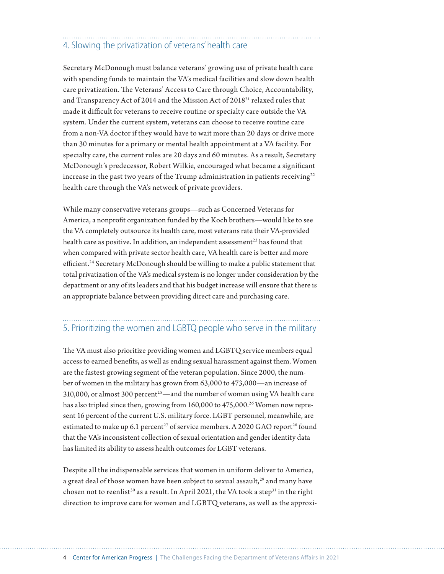## 4. Slowing the privatization of veterans' health care

Secretary McDonough must balance veterans' growing use of private health care with spending funds to maintain the VA's medical facilities and slow down health care privatization. The Veterans' Access to Care through Choice, Accountability, and Transparency Act of 2014 and the Mission Act of 201821 relaxed rules that made it difficult for veterans to receive routine or specialty care outside the VA system. Under the current system, veterans can choose to receive routine care from a non-VA doctor if they would have to wait more than 20 days or drive more than 30 minutes for a primary or mental health appointment at a VA facility. For specialty care, the current rules are 20 days and 60 minutes. As a result, Secretary McDonough's predecessor, Robert Wilkie, encouraged what became a significant increase in the past two years of the Trump administration in patients receiving $22$ health care through the VA's network of private providers.

While many conservative veterans groups—such as Concerned Veterans for America, a nonprofit organization funded by the Koch brothers—would like to see the VA completely outsource its health care, most veterans rate their VA-provided health care as positive. In addition, an independent assessment<sup>23</sup> has found that when compared with private sector health care, VA health care is better and more efficient.<sup>24</sup> Secretary McDonough should be willing to make a public statement that total privatization of the VA's medical system is no longer under consideration by the department or any of its leaders and that his budget increase will ensure that there is an appropriate balance between providing direct care and purchasing care.

### 5. Prioritizing the women and LGBTQ people who serve in the military

The VA must also prioritize providing women and LGBTQ service members equal access to earned benefits, as well as ending sexual harassment against them. Women are the fastest-growing segment of the veteran population. Since 2000, the number of women in the military has grown from 63,000 to 473,000—an increase of 310,000, or almost 300 percent<sup>25</sup>—and the number of women using VA health care has also tripled since then, growing from 160,000 to 475,000.<sup>26</sup> Women now represent 16 percent of the current U.S. military force. LGBT personnel, meanwhile, are estimated to make up 6.1 percent<sup>27</sup> of service members. A 2020 GAO report<sup>28</sup> found that the VA's inconsistent collection of sexual orientation and gender identity data has limited its ability to assess health outcomes for LGBT veterans.

Despite all the indispensable services that women in uniform deliver to America, a great deal of those women have been subject to sexual assault, $^{29}$  and many have chosen not to reenlist<sup>30</sup> as a result. In April 2021, the VA took a step<sup>31</sup> in the right direction to improve care for women and LGBTQ veterans, as well as the approxi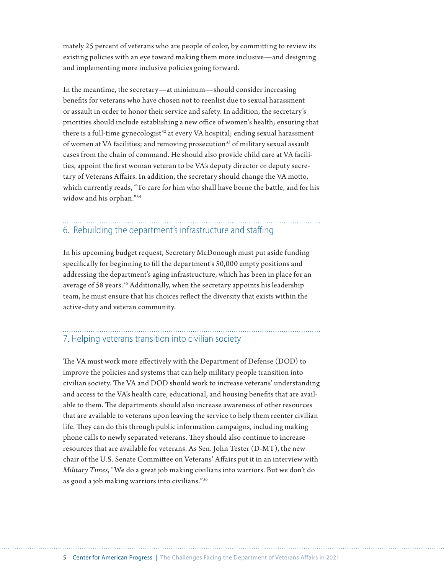mately 25 percent of veterans who are people of color, by committing to review its existing policies with an eye toward making them more inclusive—and designing and implementing more inclusive policies going forward.

In the meantime, the secretary—at minimum—should consider increasing benefits for veterans who have chosen not to reenlist due to sexual harassment or assault in order to honor their service and safety. In addition, the secretary's priorities should include establishing a new office of women's health; ensuring that there is a full-time gynecologist<sup>32</sup> at every VA hospital; ending sexual harassment of women at VA facilities; and removing prosecution<sup>33</sup> of military sexual assault cases from the chain of command. He should also provide child care at VA facilities, appoint the first woman veteran to be VA's deputy director or deputy secretary of Veterans Affairs. In addition, the secretary should change the VA motto, which currently reads, "To care for him who shall have borne the battle, and for his widow and his orphan."34

## 6. Rebuilding the department's infrastructure and staffing

In his upcoming budget request, Secretary McDonough must put aside funding specifically for beginning to fill the department's 50,000 empty positions and addressing the department's aging infrastructure, which has been in place for an average of 58 years.<sup>35</sup> Additionally, when the secretary appoints his leadership team, he must ensure that his choices reflect the diversity that exists within the active-duty and veteran community.

## 7. Helping veterans transition into civilian society

The VA must work more effectively with the Department of Defense (DOD) to improve the policies and systems that can help military people transition into civilian society. The VA and DOD should work to increase veterans' understanding and access to the VA's health care, educational, and housing benefits that are available to them. The departments should also increase awareness of other resources that are available to veterans upon leaving the service to help them reenter civilian life. They can do this through public information campaigns, including making phone calls to newly separated veterans. They should also continue to increase resources that are available for veterans. As Sen. John Tester (D-MT), the new chair of the U.S. Senate Committee on Veterans' Affairs put it in an interview with *Military Times*, "We do a great job making civilians into warriors. But we don't do as good a job making warriors into civilians."36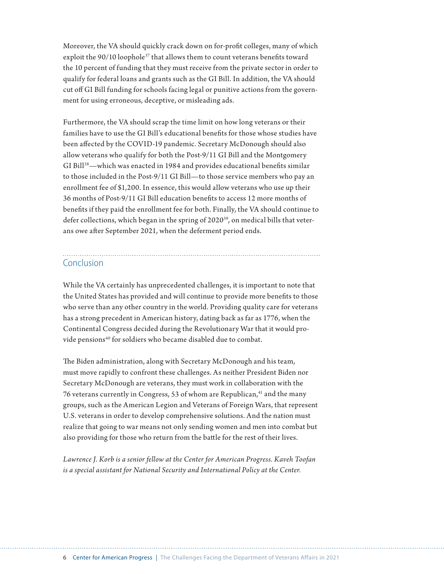Moreover, the VA should quickly crack down on for-profit colleges, many of which exploit the 90/10 loophole<sup>37</sup> that allows them to count veterans benefits toward the 10 percent of funding that they must receive from the private sector in order to qualify for federal loans and grants such as the GI Bill. In addition, the VA should cut off GI Bill funding for schools facing legal or punitive actions from the government for using erroneous, deceptive, or misleading ads.

Furthermore, the VA should scrap the time limit on how long veterans or their families have to use the GI Bill's educational benefits for those whose studies have been affected by the COVID-19 pandemic. Secretary McDonough should also allow veterans who qualify for both the Post-9/11 GI Bill and the Montgomery GI Bill<sup>38</sup>—which was enacted in 1984 and provides educational benefits similar to those included in the Post-9/11 GI Bill—to those service members who pay an enrollment fee of \$1,200. In essence, this would allow veterans who use up their 36 months of Post-9/11 GI Bill education benefits to access 12 more months of benefits if they paid the enrollment fee for both. Finally, the VA should continue to defer collections, which began in the spring of 2020<sup>39</sup>, on medical bills that veterans owe after September 2021, when the deferment period ends.

#### Conclusion

While the VA certainly has unprecedented challenges, it is important to note that the United States has provided and will continue to provide more benefits to those who serve than any other country in the world. Providing quality care for veterans has a strong precedent in American history, dating back as far as 1776, when the Continental Congress decided during the Revolutionary War that it would provide pensions<sup>40</sup> for soldiers who became disabled due to combat.

The Biden administration, along with Secretary McDonough and his team, must move rapidly to confront these challenges. As neither President Biden nor Secretary McDonough are veterans, they must work in collaboration with the 76 veterans currently in Congress, 53 of whom are Republican,<sup>41</sup> and the many groups, such as the American Legion and Veterans of Foreign Wars, that represent U.S. veterans in order to develop comprehensive solutions. And the nation must realize that going to war means not only sending women and men into combat but also providing for those who return from the battle for the rest of their lives.

*Lawrence J. Korb is a senior fellow at the Center for American Progress. Kaveh Toofan is a special assistant for National Security and International Policy at the Center.*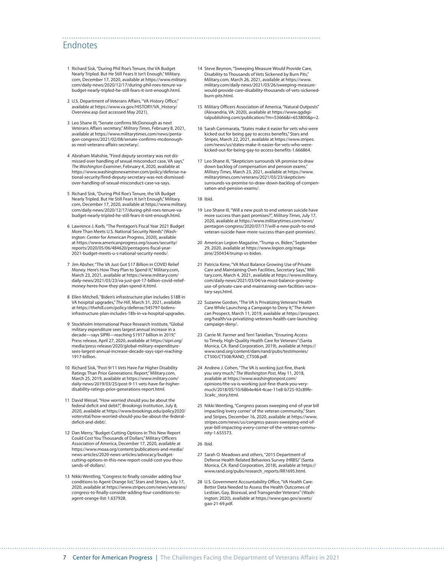#### Endnotes

- 1 Richard Sisk, "During Phil Roe's Tenure, the VA Budget Nearly Tripled. But He Still Fears It Isn't Enough," Military. com, December 17, 2020, available at [https://www.military.](https://www.military.com/daily-news/2020/12/17/during-phil-roes-tenure-va-budget-nearly-tripled-he-still-fears-it-isnt-enough.html) [com/daily-news/2020/12/17/during-phil-roes-tenure-va](https://www.military.com/daily-news/2020/12/17/during-phil-roes-tenure-va-budget-nearly-tripled-he-still-fears-it-isnt-enough.html)[budget-nearly-tripled-he-still-fears-it-isnt-enough.html.](https://www.military.com/daily-news/2020/12/17/during-phil-roes-tenure-va-budget-nearly-tripled-he-still-fears-it-isnt-enough.html)
- 2 U.S. Department of Veterans Affairs, "VA History Office," available at [https://www.va.gov/HISTORY/VA\\_History/](https://www.va.gov/HISTORY/VA_History/Overview.asp) [Overview.asp](https://www.va.gov/HISTORY/VA_History/Overview.asp) (last accessed May 2021).
- 3 Leo Shane III, "Senate confirms McDonough as next Veterans Affairs secretary," *Military Times*, February 8, 2021, available at [https://www.militarytimes.com/news/penta](https://www.militarytimes.com/news/pentagon-congress/2021/02/08/senate-confirms-mcdonough-as-next-veterans-affairs-secretary/)[gon-congress/2021/02/08/senate-confirms-mcdonough](https://www.militarytimes.com/news/pentagon-congress/2021/02/08/senate-confirms-mcdonough-as-next-veterans-affairs-secretary/)[as-next-veterans-affairs-secretary/](https://www.militarytimes.com/news/pentagon-congress/2021/02/08/senate-confirms-mcdonough-as-next-veterans-affairs-secretary/).
- 4 Abraham Mahshie, "Fired deputy secretary was not dismissed over handling of sexual misconduct case, VA says," *The Washington Examiner*, February 4, 2020, available at [https://www.washingtonexaminer.com/policy/defense-na](https://www.washingtonexaminer.com/policy/defense-national-security/fired-deputy-secretary-was-not-dismissed-over-handling-of-sexual-misconduct-case-va-says)[tional-security/fired-deputy-secretary-was-not-dismissed](https://www.washingtonexaminer.com/policy/defense-national-security/fired-deputy-secretary-was-not-dismissed-over-handling-of-sexual-misconduct-case-va-says)[over-handling-of-sexual-misconduct-case-va-says](https://www.washingtonexaminer.com/policy/defense-national-security/fired-deputy-secretary-was-not-dismissed-over-handling-of-sexual-misconduct-case-va-says).
- 5 Richard Sisk, "During Phil Roe's Tenure, the VA Budget Nearly Tripled. But He Still Fears It Isn't Enough," Military. com, December 17, 2020, available at [https://www.military.](https://www.military.com/daily-news/2020/12/17/during-phil-roes-tenure-va-budget-nearly-tripled-he-still-fears-it-isnt-enough.html) [com/daily-news/2020/12/17/during-phil-roes-tenure-va](https://www.military.com/daily-news/2020/12/17/during-phil-roes-tenure-va-budget-nearly-tripled-he-still-fears-it-isnt-enough.html)[budget-nearly-tripled-he-still-fears-it-isnt-enough.html.](https://www.military.com/daily-news/2020/12/17/during-phil-roes-tenure-va-budget-nearly-tripled-he-still-fears-it-isnt-enough.html)
- 6 Lawrence J. Korb, "The Pentagon's Fiscal Year 2021 Budget More Than Meets U.S. National Security Needs" (Washington: Center for American Progress, 2020), available at [https://www.americanprogress.org/issues/security/](https://www.americanprogress.org/issues/security/reports/2020/05/06/484620/pentagons-fiscal-year-2021-budget-meets-u-s-national-security-needs/) [reports/2020/05/06/484620/pentagons-fiscal-year-](https://www.americanprogress.org/issues/security/reports/2020/05/06/484620/pentagons-fiscal-year-2021-budget-meets-u-s-national-security-needs/)[2021-budget-meets-u-s-national-security-needs/](https://www.americanprogress.org/issues/security/reports/2020/05/06/484620/pentagons-fiscal-year-2021-budget-meets-u-s-national-security-needs/).
- 7 Jim Absher, "The VA Just Got \$17 Billion in COVID Relief Money. Here's How They Plan to Spend It," Military.com, March 23, 2021, available at [https://www.military.com/](https://www.military.com/daily-news/2021/03/23/va-just-got-17-billion-covid-relief-money-heres-how-they-plan-spend-it.html) [daily-news/2021/03/23/va-just-got-17-billion-covid-relief](https://www.military.com/daily-news/2021/03/23/va-just-got-17-billion-covid-relief-money-heres-how-they-plan-spend-it.html)[money-heres-how-they-plan-spend-it.html.](https://www.military.com/daily-news/2021/03/23/va-just-got-17-billion-covid-relief-money-heres-how-they-plan-spend-it.html)
- 8 Ellen Mitchell, "Biden's infrastructure plan includes \$18B in VA hospital upgrades," *The Hill*, March 31, 2021, available at [https://thehill.com/policy/defense/545797-bidens](https://thehill.com/policy/defense/545797-bidens-infrastructure-plan-includes-18b-in-va-hospital-upgrades)[infrastructure-plan-includes-18b-in-va-hospital-upgrades.](https://thehill.com/policy/defense/545797-bidens-infrastructure-plan-includes-18b-in-va-hospital-upgrades)
- 9 Stockholm International Peace Research Institute, "Global military expenditure sees largest annual increase in a decade—says SIPRI—reaching \$1917 billion in 2019," Press release, April 27, 2020, available at [https://sipri.org/](https://sipri.org/media/press-release/2020/global-military-expenditure-sees-largest-annual-increase-decade-says-sipri-reaching-1917-billion) [media/press-release/2020/global-military-expenditure](https://sipri.org/media/press-release/2020/global-military-expenditure-sees-largest-annual-increase-decade-says-sipri-reaching-1917-billion)[sees-largest-annual-increase-decade-says-sipri-reaching-](https://sipri.org/media/press-release/2020/global-military-expenditure-sees-largest-annual-increase-decade-says-sipri-reaching-1917-billion)[1917-billion](https://sipri.org/media/press-release/2020/global-military-expenditure-sees-largest-annual-increase-decade-says-sipri-reaching-1917-billion).
- 10 Richard Sisk, "Post-9/11 Vets Have Far Higher Disability Ratings Than Prior Generations: Report," Military.com, March 25, 2019, available at [https://www.military.com/](https://www.military.com/daily-news/2019/03/25/post-9-11-vets-have-far-higher-disability-ratings-prior-generations-report.html) [daily-news/2019/03/25/post-9-11-vets-have-far-higher](https://www.military.com/daily-news/2019/03/25/post-9-11-vets-have-far-higher-disability-ratings-prior-generations-report.html)[disability-ratings-prior-generations-report.html.](https://www.military.com/daily-news/2019/03/25/post-9-11-vets-have-far-higher-disability-ratings-prior-generations-report.html)
- 11 David Wessel, "How worried should you be about the federal deficit and debt?", Brookings Institution, July 8, 2020, available at [https://www.brookings.edu/policy2020/](https://www.brookings.edu/policy2020/votervital/how-worried-should-you-be-about-the-federal-deficit-and-debt/) [votervital/how-worried-should-you-be-about-the-federal](https://www.brookings.edu/policy2020/votervital/how-worried-should-you-be-about-the-federal-deficit-and-debt/)[deficit-and-debt/](https://www.brookings.edu/policy2020/votervital/how-worried-should-you-be-about-the-federal-deficit-and-debt/).
- 12 Dan Merry, "Budget-Cutting Options in This New Report Could Cost You Thousands of Dollars," Military Officers Association of America, December 17, 2020, available at [https://www.moaa.org/content/publications-and-media/](https://www.moaa.org/content/publications-and-media/news-articles/2020-news-articles/advocacy/budget-cutting-options-in-this-new-report-could-cost-you-thousands-of-dollars/) [news-articles/2020-news-articles/advocacy/budget](https://www.moaa.org/content/publications-and-media/news-articles/2020-news-articles/advocacy/budget-cutting-options-in-this-new-report-could-cost-you-thousands-of-dollars/)[cutting-options-in-this-new-report-could-cost-you-thou](https://www.moaa.org/content/publications-and-media/news-articles/2020-news-articles/advocacy/budget-cutting-options-in-this-new-report-could-cost-you-thousands-of-dollars/)[sands-of-dollars/.](https://www.moaa.org/content/publications-and-media/news-articles/2020-news-articles/advocacy/budget-cutting-options-in-this-new-report-could-cost-you-thousands-of-dollars/)
- 13 Nikki Wentling, "Congress to finally consider adding four conditions to Agent Orange list," Stars and Stripes, July 17, 2020, available at [https://www.stripes.com/news/veterans/](https://www.stripes.com/news/veterans/congress-to-finally-consider-adding-four-conditions-to-agent-orange-list-1.637928) [congress-to-finally-consider-adding-four-conditions-to](https://www.stripes.com/news/veterans/congress-to-finally-consider-adding-four-conditions-to-agent-orange-list-1.637928)[agent-orange-list-1.637928.](https://www.stripes.com/news/veterans/congress-to-finally-consider-adding-four-conditions-to-agent-orange-list-1.637928)
- 14 Steve Beynon, "Sweeping Measure Would Provide Care, Disability to Thousands of Vets Sickened by Burn Pits," Military.com, March 26, 2021, available at [https://www.](https://www.military.com/daily-news/2021/03/26/sweeping-measure-would-provide-care-disability-thousands-of-vets-sickened-burn-pits.html) [military.com/daily-news/2021/03/26/sweeping-measure](https://www.military.com/daily-news/2021/03/26/sweeping-measure-would-provide-care-disability-thousands-of-vets-sickened-burn-pits.html)[would-provide-care-disability-thousands-of-vets-sickened](https://www.military.com/daily-news/2021/03/26/sweeping-measure-would-provide-care-disability-thousands-of-vets-sickened-burn-pits.html)[burn-pits.html.](https://www.military.com/daily-news/2021/03/26/sweeping-measure-would-provide-care-disability-thousands-of-vets-sickened-burn-pits.html)
- 15 Military Officers Association of America, "Natural Outposts" (Alexandria, VA: 2020), available at [https://www.qgdigi](https://www.qgdigitalpublishing.com/publication/?m=53666&i=653800&p=2)[talpublishing.com/publication/?m=53666&i=653800&p=2](https://www.qgdigitalpublishing.com/publication/?m=53666&i=653800&p=2).
- 16 Sarah Cammarata, "States make it easier for vets who were kicked out for being gay to access benefits," Stars and Stripes, March 22, 2021, available at [https://www.stripes.](https://www.stripes.com/news/us/states-make-it-easier-for-vets-who-were-kicked-out-for-being-gay-to-access-benefits-1.666864) [com/news/us/states-make-it-easier-for-vets-who-were](https://www.stripes.com/news/us/states-make-it-easier-for-vets-who-were-kicked-out-for-being-gay-to-access-benefits-1.666864)[kicked-out-for-being-gay-to-access-benefits-1.666864.](https://www.stripes.com/news/us/states-make-it-easier-for-vets-who-were-kicked-out-for-being-gay-to-access-benefits-1.666864)
- 17 Leo Shane III, "Skepticism surrounds VA promise to draw down backlog of compensation and pension exams," *Military Times*, March 23, 2021, available at [https://www.](https://www.militarytimes.com/veterans/2021/03/23/skepticism-surrounds-va-promise-to-draw-down-backlog-of-compensation-and-pension-exams/) [militarytimes.com/veterans/2021/03/23/skepticism](https://www.militarytimes.com/veterans/2021/03/23/skepticism-surrounds-va-promise-to-draw-down-backlog-of-compensation-and-pension-exams/)[surrounds-va-promise-to-draw-down-backlog-of-compen](https://www.militarytimes.com/veterans/2021/03/23/skepticism-surrounds-va-promise-to-draw-down-backlog-of-compensation-and-pension-exams/)[sation-and-pension-exams/](https://www.militarytimes.com/veterans/2021/03/23/skepticism-surrounds-va-promise-to-draw-down-backlog-of-compensation-and-pension-exams/).

#### 18 Ibid.

- 19 Leo Shane III, "Will a new push to end veteran suicide have more success than past promises?", *Military Times*, July 17, 2020, available at [https://www.militarytimes.com/news/](https://www.militarytimes.com/news/pentagon-congress/2020/07/17/will-a-new-push-to-end-veteran-suicide-have-more-success-than-past-promises/) [pentagon-congress/2020/07/17/will-a-new-push-to-end](https://www.militarytimes.com/news/pentagon-congress/2020/07/17/will-a-new-push-to-end-veteran-suicide-have-more-success-than-past-promises/)[veteran-suicide-have-more-success-than-past-promises/.](https://www.militarytimes.com/news/pentagon-congress/2020/07/17/will-a-new-push-to-end-veteran-suicide-have-more-success-than-past-promises/)
- 20 American Legion Magazine, "Trump vs. Biden," September 29, 2020, available at [https://www.legion.org/maga](https://www.legion.org/magazine/250434/trump-vs-biden)[zine/250434/trump-vs-biden](https://www.legion.org/magazine/250434/trump-vs-biden).
- 21 Patricia Kime, "VA Must Balance Growing Use of Private Care and Maintaining Own Facilities, Secretary Says," Military.com, March 4, 2021, available at [https://www.military.](https://www.military.com/daily-news/2021/03/04/va-must-balance-growing-use-of-private-care-and-maintaining-own-facilities-secretary-says.html) [com/daily-news/2021/03/04/va-must-balance-growing](https://www.military.com/daily-news/2021/03/04/va-must-balance-growing-use-of-private-care-and-maintaining-own-facilities-secretary-says.html)[use-of-private-care-and-maintaining-own-facilities-secre](https://www.military.com/daily-news/2021/03/04/va-must-balance-growing-use-of-private-care-and-maintaining-own-facilities-secretary-says.html)[tary-says.html.](https://www.military.com/daily-news/2021/03/04/va-must-balance-growing-use-of-private-care-and-maintaining-own-facilities-secretary-says.html)
- 22 Suzanne Gordon, "The VA Is Privatizing Veterans' Health Care While Launching a Campaign to Deny It," The American Prospect, March 11, 2019, available at [https://prospect.](https://prospect.org/health/va-privatizing-veterans-health-care-launching-campaign-deny/) [org/health/va-privatizing-veterans-health-care-launching](https://prospect.org/health/va-privatizing-veterans-health-care-launching-campaign-deny/)[campaign-deny/.](https://prospect.org/health/va-privatizing-veterans-health-care-launching-campaign-deny/)
- 23 Carrie M. Farmer and Terri Tanielian, "Ensuring Access to Timely, High-Quality Health Care for Veterans" (Santa Monica, CA: Rand Corporation, 2019), available at [https://](https://www.rand.org/content/dam/rand/pubs/testimonies/CT500/CT508/RAND_CT508.pdf) [www.rand.org/content/dam/rand/pubs/testimonies/](https://www.rand.org/content/dam/rand/pubs/testimonies/CT500/CT508/RAND_CT508.pdf) [CT500/CT508/RAND\\_CT508.pdf.](https://www.rand.org/content/dam/rand/pubs/testimonies/CT500/CT508/RAND_CT508.pdf)
- 24 Andrew J. Cohen, "The VA is working just fine, thank you very much," *The Washington Post*, May 11, 2018, available at [https://www.washingtonpost.com/](https://www.washingtonpost.com/opinions/the-va-is-working-just-fine-thank-you-very-much/2018/05/10/68b4e464-4cae-11e8-b725-92c89fe3ca4c_story.html) [opinions/the-va-is-working-just-fine-thank-you-very](https://www.washingtonpost.com/opinions/the-va-is-working-just-fine-thank-you-very-much/2018/05/10/68b4e464-4cae-11e8-b725-92c89fe3ca4c_story.html)[much/2018/05/10/68b4e464-4cae-11e8-b725-92c89fe-](https://www.washingtonpost.com/opinions/the-va-is-working-just-fine-thank-you-very-much/2018/05/10/68b4e464-4cae-11e8-b725-92c89fe3ca4c_story.html)[3ca4c\\_story.html](https://www.washingtonpost.com/opinions/the-va-is-working-just-fine-thank-you-very-much/2018/05/10/68b4e464-4cae-11e8-b725-92c89fe3ca4c_story.html).
- 25 Nikki Wentling, "Congress passes sweeping end-of-year bill impacting 'every corner' of the veteran community," Stars and Stripes, December 16, 2020, available at [https://www.](https://www.stripes.com/news/us/congress-passes-sweeping-end-of-year-bill-impacting-every-corner-of-the-veteran-community-1.655573) [stripes.com/news/us/congress-passes-sweeping-end-of](https://www.stripes.com/news/us/congress-passes-sweeping-end-of-year-bill-impacting-every-corner-of-the-veteran-community-1.655573)[year-bill-impacting-every-corner-of-the-veteran-commu](https://www.stripes.com/news/us/congress-passes-sweeping-end-of-year-bill-impacting-every-corner-of-the-veteran-community-1.655573)[nity-1.655573](https://www.stripes.com/news/us/congress-passes-sweeping-end-of-year-bill-impacting-every-corner-of-the-veteran-community-1.655573).

#### 26 Ibid.

- 27 Sarah O. Meadows and others, "2015 Department of Defense Health Related Behaviors Survey (HRBS)" (Santa Monica, CA: Rand Corporation, 2018), available at [https://](https://www.rand.org/pubs/research_reports/RR1695.html) [www.rand.org/pubs/research\\_reports/RR1695.html.](https://www.rand.org/pubs/research_reports/RR1695.html)
- 28 U.S. Government Accountability Office, "VA Health Care: Better Data Needed to Assess the Health Outcomes of Lesbian, Gay, Bisexual, and Transgender Veterans" (Washington: 2020), available at [https://www.gao.gov/assets/](https://www.gao.gov/assets/gao-21-69.pdf) [gao-21-69.pdf](https://www.gao.gov/assets/gao-21-69.pdf).